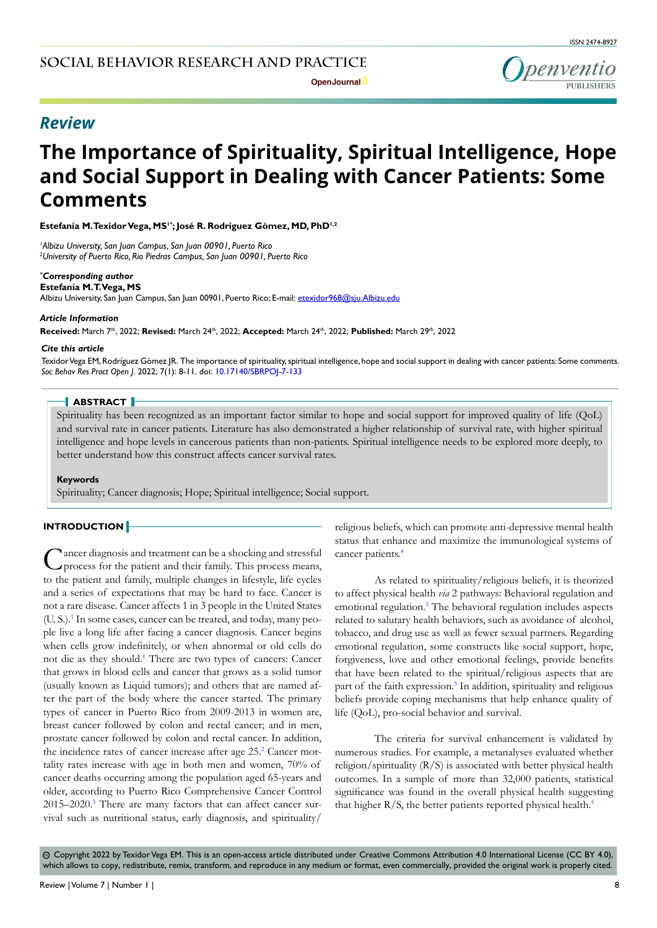penventio

# *Review*

# **The Importance of Spirituality, Spiritual Intelligence, Hope and Social Support in Dealing with Cancer Patients: Some Comments**

**Estefanía M. Texidor Vega, MS1\*; José R. Rodríguez Gòmez, MD, PhD1,2**

*1 Albizu University, San Juan Campus, San Juan 00901, Puerto Rico 2 University of Puerto Rico, Rio Piedras Campus, San Juan 00901, Puerto Rico*

#### *\* Corresponding author*

**Estefanía M. T. Vega, MS** Albizu University, San Juan Campus, San Juan 00901, Puerto Rico; E-mail: etexidor968@sju.Albizu.edu

#### *Article Information*

**Received:** March 7th, 2022; **Revised:** March 24th, 2022; **Accepted:** March 24th, 2022; **Published:** March 29th, 2022

#### *Cite this article*

Texidor Vega EM, Rodríguez Gòmez JR. The importance of spirituality, spiritual intelligence, hope and social support in dealing with cancer patients: Some comments. *Soc Behav Res Pract Open J*. 2022; 7(1): 8-11. doi: [10.17140/SBRPOJ-7-133](http://dx.doi.org/10.17140/SBRPOJ-7-133)

# **ABSTRACT**

Spirituality has been recognized as an important factor similar to hope and social support for improved quality of life (QoL) and survival rate in cancer patients. Literature has also demonstrated a higher relationship of survival rate, with higher spiritual intelligence and hope levels in cancerous patients than non-patients. Spiritual intelligence needs to be explored more deeply, to better understand how this construct affects cancer survival rates.

#### **Keywords**

Spirituality; Cancer diagnosis; Hope; Spiritual intelligence; Social support.

#### **INTRODUCTION**

Cancer diagnosis and treatment can be a shocking and stressful process for the patient and their family. This process means, to the patient and family, multiple changes in lifestyle, life cycles and a series of expectations that may be hard to face. Cancer is not a rare disease. Cancer affects 1 in 3 people in the United States (U. S.).<sup>1</sup> In some cases, cancer can be treated, and today, many people live a long life after facing a cancer diagnosis. Cancer begins when cells grow indefinitely, or when abnormal or old cells do not die as they should.<sup>1</sup> There are two types of cancers: Cancer that grows in blood cells and cancer that grows as a solid tumor (usually known as Liquid tumors); and others that are named after the part of the body where the cancer started. The primary types of cancer in Puerto Rico from 2009-2013 in women are, breast cancer followed by colon and rectal cancer; and in men, prostate cancer followed by colon and rectal cancer. In addition, the incidence rates of cancer increase after age [2](#page-2-1)5.<sup>2</sup> Cancer mortality rates increase with age in both men and women, 70% of cancer deaths occurring among the population aged 65-years and older, according to Puerto Rico Comprehensive Cancer Control 2015–2020.<sup>[3](#page-2-2)</sup> There are many factors that can affect cancer survival such as nutritional status, early diagnosis, and spirituality/

religious beliefs, which can promote anti-depressive mental health status that enhance and maximize the immunological systems of cancer patients[.4](#page-2-3)

As related to spirituality/religious beliefs, it is theorized to affect physical health *via* 2 pathways: Behavioral regulation and emotional regulation.<sup>[5](#page-2-4)</sup> The behavioral regulation includes aspects related to salutary health behaviors, such as avoidance of alcohol, tobacco, and drug use as well as fewer sexual partners. Regarding emotional regulation, some constructs like social support, hope, forgiveness, love and other emotional feelings, provide benefits that have been related to the spiritual/religious aspects that are part of the faith expression.<sup>[5](#page-2-4)</sup> In addition, spirituality and religious beliefs provide coping mechanisms that help enhance quality of life (QoL), pro-social behavior and survival.

The criteria for survival enhancement is validated by numerous studies. For example, a metanalyses evaluated whether religion/spirituality (R/S) is associated with better physical health outcomes. In a sample of more than 32,000 patients, statistical significance was found in the overall physical health suggesting that higher  $R/S$ , the better patients reported physical health.<sup>[5](#page-2-4)</sup>

 Copyright 2022 by Texidor Vega EM. This is an open-access article distributed under Creative Commons Attribution 4.0 International License (CC BY 4.0), cc which allows to copy, redistribute, remix, transform, and reproduce in any medium or format, even commercially, provided the original work is properly cited.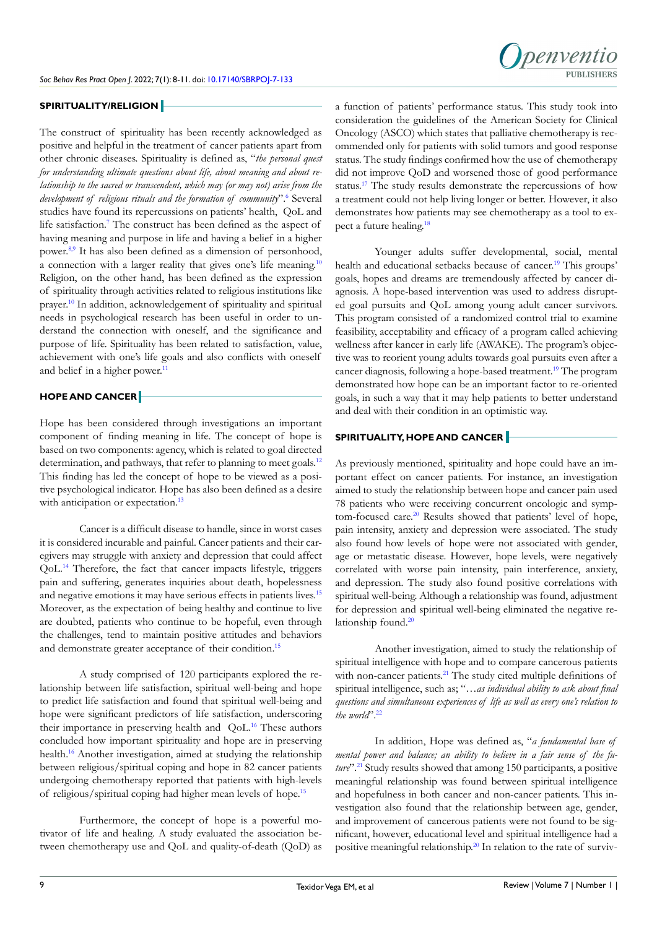

## **SPIRITUALITY/RELIGION**

The construct of spirituality has been recently acknowledged as positive and helpful in the treatment of cancer patients apart from other chronic diseases. Spirituality is defined as, "*the personal quest for understanding ultimate questions about life, about meaning and about relationship to the sacred or transcendent, which may (or may not) arise from the*  development of religious rituals and the formation of community".<sup>[6](#page-3-0)</sup> Several studies have found its repercussions on patients' health, QoL and life satisfaction.<sup>[7](#page-3-1)</sup> The construct has been defined as the aspect of having meaning and purpose in life and having a belief in a higher power.[8,9](#page-3-2) It has also been defined as a dimension of personhood, a connection with a larger reality that gives one's life meaning[.10](#page-3-3) Religion, on the other hand, has been defined as the expression of spirituality through activities related to religious institutions like prayer.[10](#page-3-3) In addition, acknowledgement of spirituality and spiritual needs in psychological research has been useful in order to understand the connection with oneself, and the significance and purpose of life. Spirituality has been related to satisfaction, value, achievement with one's life goals and also conflicts with oneself and belief in a higher power.<sup>11</sup>

# **HOPE AND CANCER**

Hope has been considered through investigations an important component of finding meaning in life. The concept of hope is based on two components: agency, which is related to goal directed determination, and pathways, that refer to planning to meet goals.<sup>12</sup> This finding has led the concept of hope to be viewed as a positive psychological indicator. Hope has also been defined as a desire with anticipation or expectation.<sup>13</sup>

Cancer is a difficult disease to handle, since in worst cases it is considered incurable and painful. Cancer patients and their caregivers may struggle with anxiety and depression that could affect QoL.[14](#page-3-7) Therefore, the fact that cancer impacts lifestyle, triggers pain and suffering, generates inquiries about death, hopelessness and negative emotions it may have serious effects in patients lives.<sup>15</sup> Moreover, as the expectation of being healthy and continue to live are doubted, patients who continue to be hopeful, even through the challenges, tend to maintain positive attitudes and behaviors and demonstrate greater acceptance of their condition.<sup>[15](#page-3-8)</sup>

A study comprised of 120 participants explored the relationship between life satisfaction, spiritual well-being and hope to predict life satisfaction and found that spiritual well-being and hope were significant predictors of life satisfaction, underscoring their importance in preserving health and QoL[.16](#page-3-9) These authors concluded how important spirituality and hope are in preserving health.[16](#page-3-9) Another investigation, aimed at studying the relationship between religious/spiritual coping and hope in 82 cancer patients undergoing chemotherapy reported that patients with high-levels of religious/spiritual coping had higher mean levels of hope[.15](#page-3-8)

Furthermore, the concept of hope is a powerful motivator of life and healing. A study evaluated the association between chemotherapy use and QoL and quality-of-death (QoD) as a function of patients' performance status. This study took into consideration the guidelines of the American Society for Clinical Oncology (ASCO) which states that palliative chemotherapy is recommended only for patients with solid tumors and good response status. The study findings confirmed how the use of chemotherapy did not improve QoD and worsened those of good performance status.<sup>[17](#page-3-10)</sup> The study results demonstrate the repercussions of how a treatment could not help living longer or better. However, it also demonstrates how patients may see chemotherapy as a tool to expect a future healing[.18](#page-3-11)

Younger adults suffer developmental, social, mental health and educational setbacks because of cancer.<sup>19</sup> This groups' goals, hopes and dreams are tremendously affected by cancer diagnosis. A hope-based intervention was used to address disrupted goal pursuits and QoL among young adult cancer survivors. This program consisted of a randomized control trial to examine feasibility, acceptability and efficacy of a program called achieving wellness after kancer in early life (AWAKE). The program's objective was to reorient young adults towards goal pursuits even after a cancer diagnosis, following a hope-based treatment[.19](#page-3-12) The program demonstrated how hope can be an important factor to re-oriented goals, in such a way that it may help patients to better understand and deal with their condition in an optimistic way.

# **SPIRITUALITY, HOPE AND CANCER**

As previously mentioned, spirituality and hope could have an important effect on cancer patients. For instance, an investigation aimed to study the relationship between hope and cancer pain used 78 patients who were receiving concurrent oncologic and symptom-focused care.<sup>20</sup> Results showed that patients' level of hope, pain intensity, anxiety and depression were associated. The study also found how levels of hope were not associated with gender, age or metastatic disease. However, hope levels, were negatively correlated with worse pain intensity, pain interference, anxiety, and depression. The study also found positive correlations with spiritual well-being. Although a relationship was found, adjustment for depression and spiritual well-being eliminated the negative re-lationship found.<sup>[20](#page-3-13)</sup>

Another investigation, aimed to study the relationship of spiritual intelligence with hope and to compare cancerous patients with non-cancer patients.<sup>21</sup> The study cited multiple definitions of spiritual intelligence, such as; "*…as individual ability to ask about final questions and simultaneous experiences of life as well as every one's relation to the world*".[22](#page-3-15)

In addition, Hope was defined as, "*a fundamental base of mental power and balance; an ability to believe in a fair sense of the future*"[.21](#page-3-14) Study results showed that among 150 participants, a positive meaningful relationship was found between spiritual intelligence and hopefulness in both cancer and non-cancer patients. This investigation also found that the relationship between age, gender, and improvement of cancerous patients were not found to be significant, however, educational level and spiritual intelligence had a positive meaningful relationship.[20](#page-3-13) In relation to the rate of surviv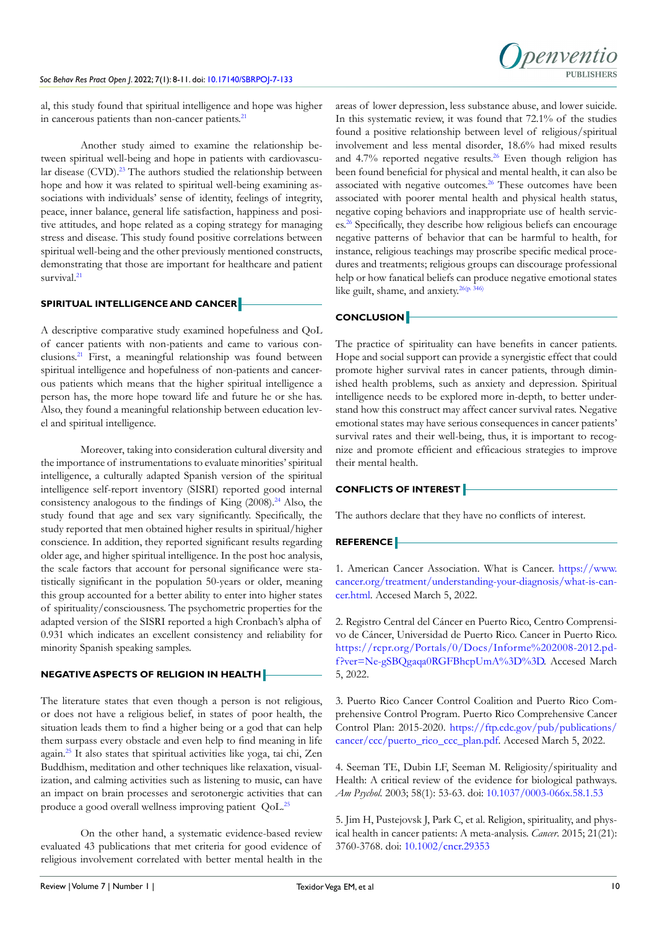al, this study found that spiritual intelligence and hope was higher in cancerous patients than non-cancer patients.<sup>21</sup>

Another study aimed to examine the relationship between spiritual well-being and hope in patients with cardiovascu-lar disease (CVD).<sup>[23](#page-3-16)</sup> The authors studied the relationship between hope and how it was related to spiritual well-being examining associations with individuals' sense of identity, feelings of integrity, peace, inner balance, general life satisfaction, happiness and positive attitudes, and hope related as a coping strategy for managing stress and disease. This study found positive correlations between spiritual well-being and the other previously mentioned constructs, demonstrating that those are important for healthcare and patient survival.<sup>21</sup>

#### **SPIRITUAL INTELLIGENCE AND CANCER**

A descriptive comparative study examined hopefulness and QoL of cancer patients with non-patients and came to various conclusions.[21](#page-3-14) First, a meaningful relationship was found between spiritual intelligence and hopefulness of non-patients and cancerous patients which means that the higher spiritual intelligence a person has, the more hope toward life and future he or she has. Also, they found a meaningful relationship between education level and spiritual intelligence.

Moreover, taking into consideration cultural diversity and the importance of instrumentations to evaluate minorities' spiritual intelligence, a culturally adapted Spanish version of the spiritual intelligence self-report inventory (SISRI) reported good internal consistency analogous to the findings of King  $(2008)$ .<sup>[24](#page-3-17)</sup> Also, the study found that age and sex vary significantly. Specifically, the study reported that men obtained higher results in spiritual/higher conscience. In addition, they reported significant results regarding older age, and higher spiritual intelligence. In the post hoc analysis, the scale factors that account for personal significance were statistically significant in the population 50-years or older, meaning this group accounted for a better ability to enter into higher states of spirituality/consciousness. The psychometric properties for the adapted version of the SISRI reported a high Cronbach's alpha of 0.931 which indicates an excellent consistency and reliability for minority Spanish speaking samples.

#### **NEGATIVE ASPECTS OF RELIGION IN HEALTH**

The literature states that even though a person is not religious, or does not have a religious belief, in states of poor health, the situation leads them to find a higher being or a god that can help them surpass every obstacle and even help to find meaning in life again[.25](#page-3-18) It also states that spiritual activities like yoga, tai chi, Zen Buddhism, meditation and other techniques like relaxation, visualization, and calming activities such as listening to music, can have an impact on brain processes and serotonergic activities that can produce a good overall wellness improving patient QoL[.25](#page-3-18)

On the other hand, a systematic evidence-based review evaluated 43 publications that met criteria for good evidence of religious involvement correlated with better mental health in the areas of lower depression, less substance abuse, and lower suicide. In this systematic review, it was found that 72.1% of the studies found a positive relationship between level of religious/spiritual involvement and less mental disorder, 18.6% had mixed results and  $4.7\%$  reported negative results.<sup>26</sup> Even though religion has been found beneficial for physical and mental health, it can also be associated with negative outcomes.<sup>26</sup> These outcomes have been associated with poorer mental health and physical health status, negative coping behaviors and inappropriate use of health services.[26](#page-3-19) Specifically, they describe how religious beliefs can encourage negative patterns of behavior that can be harmful to health, for instance, religious teachings may proscribe specific medical procedures and treatments; religious groups can discourage professional help or how fanatical beliefs can produce negative emotional states like guilt, shame, and anxiety.<sup>26(p. 346)</sup>

## **CONCLUSION**

The practice of spirituality can have benefits in cancer patients. Hope and social support can provide a synergistic effect that could promote higher survival rates in cancer patients, through diminished health problems, such as anxiety and depression. Spiritual intelligence needs to be explored more in-depth, to better understand how this construct may affect cancer survival rates. Negative emotional states may have serious consequences in cancer patients' survival rates and their well-being, thus, it is important to recognize and promote efficient and efficacious strategies to improve their mental health.

# **CONFLICTS OF INTEREST**

The authors declare that they have no conflicts of interest.

#### **REFERENCE**

<span id="page-2-0"></span>1. American Cancer Association. What is Cancer. [https://www.](https://www.cancer.org/treatment/understanding-your-diagnosis/what-is-cancer.html) [cancer.org/treatment/understanding-your-diagnosis/what-is-can](https://www.cancer.org/treatment/understanding-your-diagnosis/what-is-cancer.html)[cer.html.](https://www.cancer.org/treatment/understanding-your-diagnosis/what-is-cancer.html) Accesed March 5, 2022.

<span id="page-2-1"></span>2. Registro Central del Cáncer en Puerto Rico, Centro Comprensivo de Cáncer, Universidad de Puerto Rico. Cancer in Puerto Rico. [https://rcpr.org/Portals/0/Docs/Informe%202008-2012.pd](https://rcpr.org/Portals/0/Docs/Informe%202008-2012.pdf?ver=Ne-gSBQgaqa0RGFBhcpUmA%3D%3D)[f?ver=Ne-gSBQgaqa0RGFBhcpUmA%3D%3D.](https://rcpr.org/Portals/0/Docs/Informe%202008-2012.pdf?ver=Ne-gSBQgaqa0RGFBhcpUmA%3D%3D) Accesed March 5, 2022.

<span id="page-2-2"></span>3. Puerto Rico Cancer Control Coalition and Puerto Rico Comprehensive Control Program. Puerto Rico Comprehensive Cancer Control Plan: 2015-2020. [https://ftp.cdc.gov/pub/publications/](https://ftp.cdc.gov/pub/publications/cancer/ccc/puerto_rico_ccc_plan.pdf) [cancer/ccc/puerto\\_rico\\_ccc\\_plan.pdf.](https://ftp.cdc.gov/pub/publications/cancer/ccc/puerto_rico_ccc_plan.pdf) Accesed March 5, 2022.

<span id="page-2-3"></span>4. Seeman TE, Dubin LF, Seeman M. Religiosity/spirituality and Health: A critical review of the evidence for biological pathways. *Am Psychol.* 2003; 58(1): 53-63. doi: [10.1037/0003-066x.58.1.53](http://doi.org/10.1037/0003-066x.58.1.53)

<span id="page-2-4"></span>5. Jim H, Pustejovsk J, Park C, et al. Religion, spirituality, and physical health in cancer patients: A meta-analysis. *Cancer*. 2015; 21(21): 3760-3768. doi: [10.1002/cncr.29353](http://doi.org/10.1002/cncr.29353)